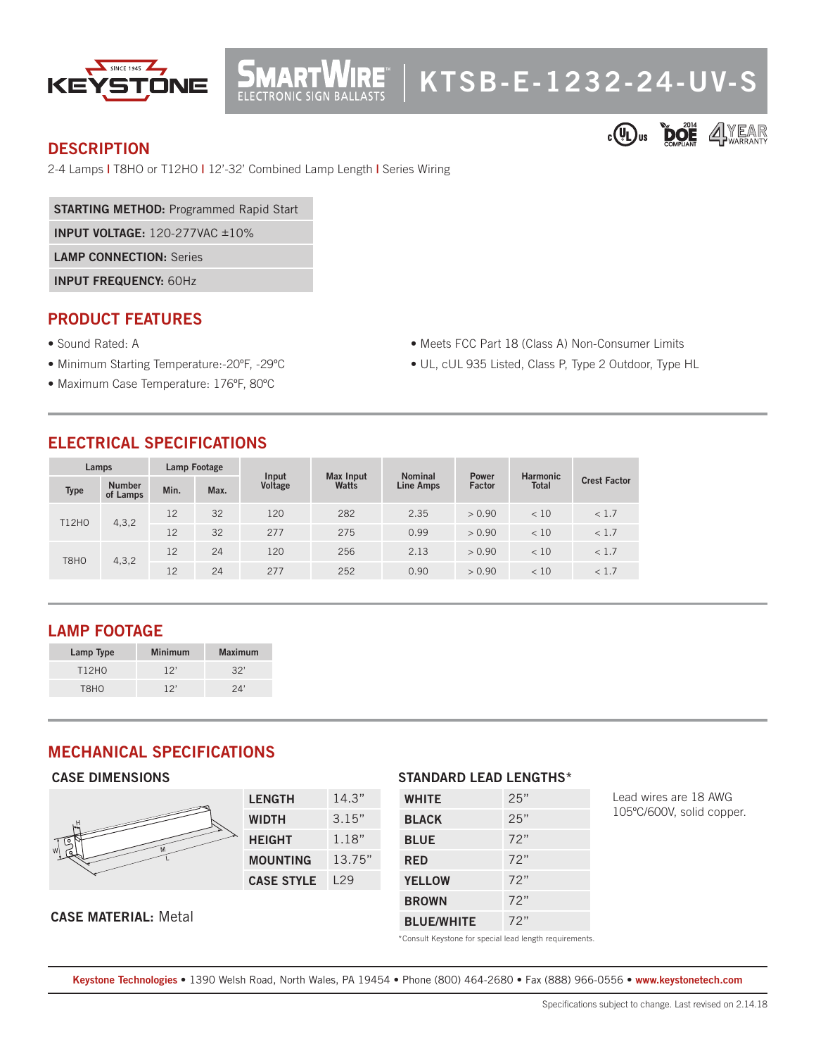

# **KTSB-E-1232-24-UV-S**

• Meets FCC Part 18 (Class A) Non-Consumer Limits • UL, cUL 935 Listed, Class P, Type 2 Outdoor, Type HL

### **DESCRIPTION**



2-4 Lamps **|** T8HO or T12HO **|** 12'-32' Combined Lamp Length **|** Series Wiring

**MART** 

**STARTING METHOD:** Programmed Rapid Start

**INPUT VOLTAGE:** 120-277VAC ±10%

**LAMP CONNECTION:** Series

**INPUT FREQUENCY:** 60Hz

## **PRODUCT FEATURES**

- Sound Rated: A
- Minimum Starting Temperature:-20ºF, -29ºC
- Maximum Case Temperature: 176ºF, 80ºC

# **ELECTRICAL SPECIFICATIONS**

| Lamps        |                           | Lamp Footage |      | Input   | <b>Max Input</b> | <b>Nominal</b>   | <b>Power</b> | <b>Harmonic</b> |                     |
|--------------|---------------------------|--------------|------|---------|------------------|------------------|--------------|-----------------|---------------------|
| <b>Type</b>  | <b>Number</b><br>of Lamps | Min.         | Max. | Voltage | Watts            | <b>Line Amps</b> | Factor       | <b>Total</b>    | <b>Crest Factor</b> |
| <b>T12HO</b> | 4, 3, 2                   | 12           | 32   | 120     | 282              | 2.35             | > 0.90       | < 10            | < 1.7               |
|              |                           | 12           | 32   | 277     | 275              | 0.99             | > 0.90       | < 10            | < 1.7               |
| T8HO         | 4, 3, 2                   | 12           | 24   | 120     | 256              | 2.13             | > 0.90       | < 10            | < 1.7               |
|              |                           | 12           | 24   | 277     | 252              | 0.90             | > 0.90       | < 10            | < 1.7               |

# **LAMP FOOTAGE**

| Lamp Type         | <b>Minimum</b> | <b>Maximum</b> |
|-------------------|----------------|----------------|
| T12H <sub>0</sub> | 12'            | 32'            |
| <b>TRHO</b>       | 12'            | 24'            |

## **MECHANICAL SPECIFICATIONS**

#### **CASE DIMENSIONS**



#### **CASE MATERIAL:** Metal

#### **STANDARD LEAD LENGTHS\***

| <b>WHITE</b>      | 25" |
|-------------------|-----|
| <b>BLACK</b>      | 25" |
| <b>BLUE</b>       | 72" |
| <b>RED</b>        | 72" |
| <b>YELLOW</b>     | 72" |
| <b>BROWN</b>      | 72" |
| <b>BLUE/WHITE</b> | 72" |

\*Consult Keystone for special lead length requirements.

**Keystone Technologies •** 1390 Welsh Road, North Wales, PA 19454 **•** Phone (800) 464-2680 **•** Fax (888) 966-0556 • **www.keystonetech.com**

Lead wires are 18 AWG 105ºC/600V, solid copper.